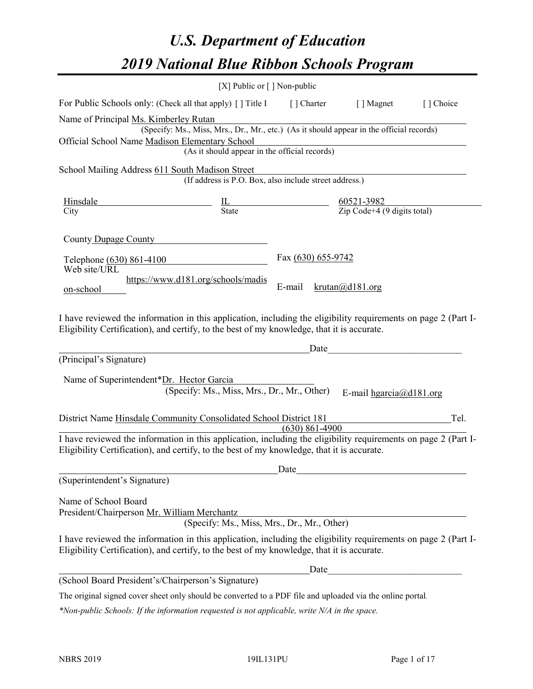# *U.S. Department of Education 2019 National Blue Ribbon Schools Program*

|                                                                                                                                                                                                              | [X] Public or $\lceil$ ] Non-public                                                      |                                                                               |                      |                                 |           |
|--------------------------------------------------------------------------------------------------------------------------------------------------------------------------------------------------------------|------------------------------------------------------------------------------------------|-------------------------------------------------------------------------------|----------------------|---------------------------------|-----------|
| For Public Schools only: (Check all that apply) [] Title I                                                                                                                                                   |                                                                                          |                                                                               | [] Charter [] Magnet |                                 | [] Choice |
| Name of Principal Ms. Kimberley Rutan                                                                                                                                                                        | (Specify: Ms., Miss, Mrs., Dr., Mr., etc.) (As it should appear in the official records) |                                                                               |                      |                                 |           |
| Official School Name Madison Elementary School                                                                                                                                                               | (As it should appear in the official records)                                            |                                                                               |                      |                                 |           |
| School Mailing Address 611 South Madison Street                                                                                                                                                              | (If address is P.O. Box, also include street address.)                                   |                                                                               |                      |                                 |           |
| Hinsdale                                                                                                                                                                                                     |                                                                                          | $\frac{IL}{State}$<br>$\frac{60521-3982}{\text{Zip Code}+4 (9 digits total)}$ |                      |                                 |           |
| City                                                                                                                                                                                                         |                                                                                          |                                                                               |                      |                                 |           |
| County Dupage County                                                                                                                                                                                         |                                                                                          |                                                                               |                      |                                 |           |
| Telephone (630) 861-4100<br>Web site/URL                                                                                                                                                                     |                                                                                          |                                                                               | Fax (630) 655-9742   |                                 |           |
| on-school                                                                                                                                                                                                    | https://www.d181.org/schools/madis                                                       | E-mail                                                                        | krutan(a)d181.org    |                                 |           |
| I have reviewed the information in this application, including the eligibility requirements on page 2 (Part I-<br>Eligibility Certification), and certify, to the best of my knowledge, that it is accurate. |                                                                                          |                                                                               | Date                 |                                 |           |
| (Principal's Signature)                                                                                                                                                                                      |                                                                                          |                                                                               |                      |                                 |           |
| Name of Superintendent*Dr. Hector Garcia                                                                                                                                                                     | (Specify: Ms., Miss, Mrs., Dr., Mr., Other)                                              |                                                                               |                      | E-mail $hgarcia$ ( $Q$ d181.org |           |
| District Name Hinsdale Community Consolidated School District 181                                                                                                                                            |                                                                                          | $(630)$ 861-4900                                                              |                      |                                 | Tel.      |
| I have reviewed the information in this application, including the eligibility requirements on page 2 (Part I-<br>Eligibility Certification), and certify, to the best of my knowledge, that it is accurate. |                                                                                          |                                                                               |                      |                                 |           |
|                                                                                                                                                                                                              |                                                                                          | Date                                                                          |                      |                                 |           |
| (Superintendent's Signature)                                                                                                                                                                                 |                                                                                          |                                                                               |                      |                                 |           |
| Name of School Board<br>President/Chairperson Mr. William Merchantz                                                                                                                                          | (Specify: Ms., Miss, Mrs., Dr., Mr., Other)                                              |                                                                               |                      |                                 |           |
| I have reviewed the information in this application, including the eligibility requirements on page 2 (Part I-<br>Eligibility Certification), and certify, to the best of my knowledge, that it is accurate. |                                                                                          |                                                                               |                      |                                 |           |
|                                                                                                                                                                                                              |                                                                                          |                                                                               |                      |                                 |           |
| (School Board President's/Chairperson's Signature)                                                                                                                                                           |                                                                                          |                                                                               |                      |                                 |           |
| The original signed cover sheet only should be converted to a PDF file and uploaded via the online portal.                                                                                                   |                                                                                          |                                                                               |                      |                                 |           |

*\*Non-public Schools: If the information requested is not applicable, write N/A in the space.*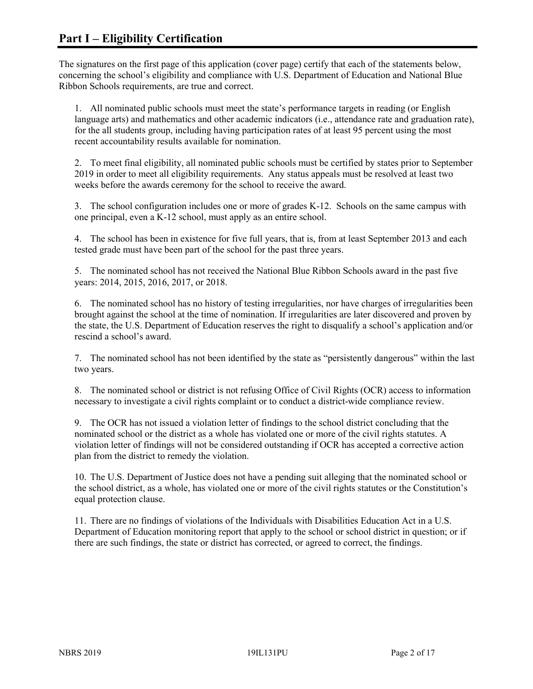The signatures on the first page of this application (cover page) certify that each of the statements below, concerning the school's eligibility and compliance with U.S. Department of Education and National Blue Ribbon Schools requirements, are true and correct.

1. All nominated public schools must meet the state's performance targets in reading (or English language arts) and mathematics and other academic indicators (i.e., attendance rate and graduation rate), for the all students group, including having participation rates of at least 95 percent using the most recent accountability results available for nomination.

2. To meet final eligibility, all nominated public schools must be certified by states prior to September 2019 in order to meet all eligibility requirements. Any status appeals must be resolved at least two weeks before the awards ceremony for the school to receive the award.

3. The school configuration includes one or more of grades K-12. Schools on the same campus with one principal, even a K-12 school, must apply as an entire school.

4. The school has been in existence for five full years, that is, from at least September 2013 and each tested grade must have been part of the school for the past three years.

5. The nominated school has not received the National Blue Ribbon Schools award in the past five years: 2014, 2015, 2016, 2017, or 2018.

6. The nominated school has no history of testing irregularities, nor have charges of irregularities been brought against the school at the time of nomination. If irregularities are later discovered and proven by the state, the U.S. Department of Education reserves the right to disqualify a school's application and/or rescind a school's award.

7. The nominated school has not been identified by the state as "persistently dangerous" within the last two years.

8. The nominated school or district is not refusing Office of Civil Rights (OCR) access to information necessary to investigate a civil rights complaint or to conduct a district-wide compliance review.

9. The OCR has not issued a violation letter of findings to the school district concluding that the nominated school or the district as a whole has violated one or more of the civil rights statutes. A violation letter of findings will not be considered outstanding if OCR has accepted a corrective action plan from the district to remedy the violation.

10. The U.S. Department of Justice does not have a pending suit alleging that the nominated school or the school district, as a whole, has violated one or more of the civil rights statutes or the Constitution's equal protection clause.

11. There are no findings of violations of the Individuals with Disabilities Education Act in a U.S. Department of Education monitoring report that apply to the school or school district in question; or if there are such findings, the state or district has corrected, or agreed to correct, the findings.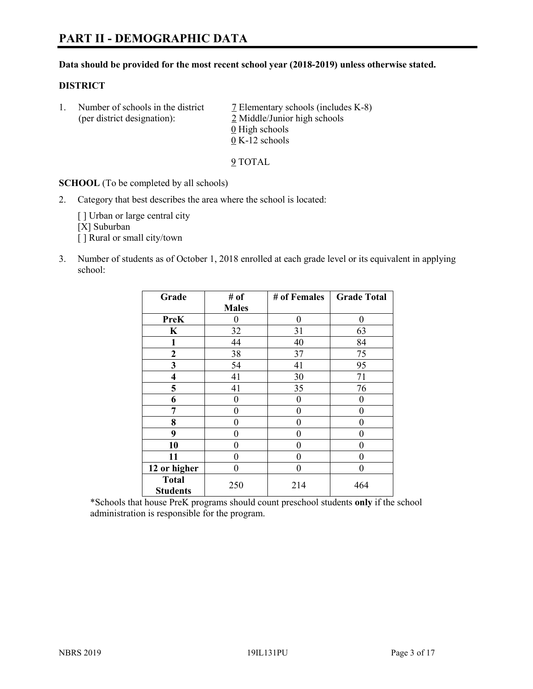#### **Data should be provided for the most recent school year (2018-2019) unless otherwise stated.**

#### **DISTRICT**

1. Number of schools in the district  $\overline{7}$  Elementary schools (includes K-8) (per district designation): 2 Middle/Junior high schools 0 High schools 0 K-12 schools

9 TOTAL

**SCHOOL** (To be completed by all schools)

2. Category that best describes the area where the school is located:

[ ] Urban or large central city [X] Suburban [] Rural or small city/town

3. Number of students as of October 1, 2018 enrolled at each grade level or its equivalent in applying school:

| Grade                           | # of         | # of Females | <b>Grade Total</b> |
|---------------------------------|--------------|--------------|--------------------|
|                                 | <b>Males</b> |              |                    |
| <b>PreK</b>                     | 0            | $\theta$     | 0                  |
| $\mathbf K$                     | 32           | 31           | 63                 |
| 1                               | 44           | 40           | 84                 |
| 2                               | 38           | 37           | 75                 |
| 3                               | 54           | 41           | 95                 |
| $\overline{\mathbf{4}}$         | 41           | 30           | 71                 |
| 5                               | 41           | 35           | 76                 |
| 6                               | 0            | $\theta$     | 0                  |
| 7                               | 0            | $\theta$     | 0                  |
| 8                               | 0            | 0            | 0                  |
| 9                               | 0            | $\theta$     | 0                  |
| 10                              | 0            | 0            | 0                  |
| 11                              | $\theta$     | 0            | 0                  |
| 12 or higher                    | 0            | 0            | 0                  |
| <b>Total</b><br><b>Students</b> | 250          | 214          | 464                |

\*Schools that house PreK programs should count preschool students **only** if the school administration is responsible for the program.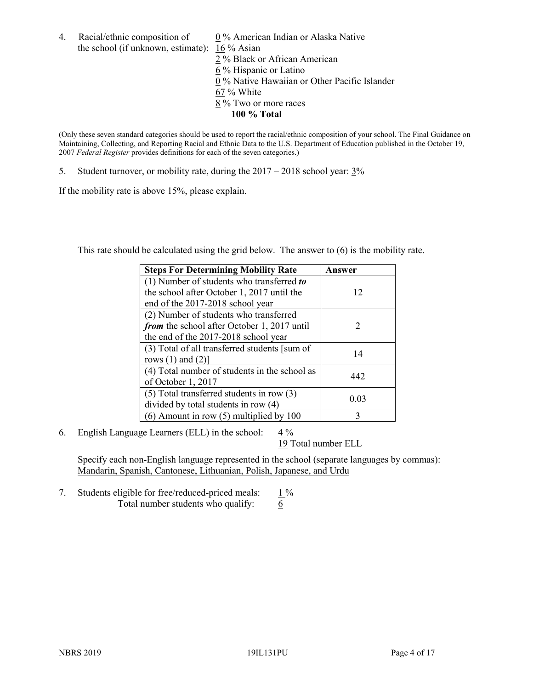the school (if unknown, estimate): 16 % Asian

4. Racial/ethnic composition of  $0\%$  American Indian or Alaska Native 2 % Black or African American 6 % Hispanic or Latino 0 % Native Hawaiian or Other Pacific Islander 67 % White 8 % Two or more races **100 % Total**

(Only these seven standard categories should be used to report the racial/ethnic composition of your school. The Final Guidance on Maintaining, Collecting, and Reporting Racial and Ethnic Data to the U.S. Department of Education published in the October 19, 2007 *Federal Register* provides definitions for each of the seven categories.)

5. Student turnover, or mobility rate, during the 2017 – 2018 school year: 3%

If the mobility rate is above 15%, please explain.

This rate should be calculated using the grid below. The answer to (6) is the mobility rate.

| <b>Steps For Determining Mobility Rate</b>    | Answer                      |
|-----------------------------------------------|-----------------------------|
| (1) Number of students who transferred to     |                             |
| the school after October 1, 2017 until the    | 12                          |
| end of the 2017-2018 school year              |                             |
| (2) Number of students who transferred        |                             |
| from the school after October 1, 2017 until   | $\mathcal{D}_{\mathcal{L}}$ |
| the end of the 2017-2018 school year          |                             |
| (3) Total of all transferred students [sum of | 14                          |
| rows $(1)$ and $(2)$ ]                        |                             |
| (4) Total number of students in the school as |                             |
| of October 1, 2017                            | 442                         |
| $(5)$ Total transferred students in row $(3)$ |                             |
| divided by total students in row (4)          | 0.03                        |
| $(6)$ Amount in row $(5)$ multiplied by 100   | 3                           |

6. English Language Learners (ELL) in the school:  $4\%$ 

19 Total number ELL

Specify each non-English language represented in the school (separate languages by commas): Mandarin, Spanish, Cantonese, Lithuanian, Polish, Japanese, and Urdu

7. Students eligible for free/reduced-priced meals:  $1\%$ Total number students who qualify:  $\frac{6}{6}$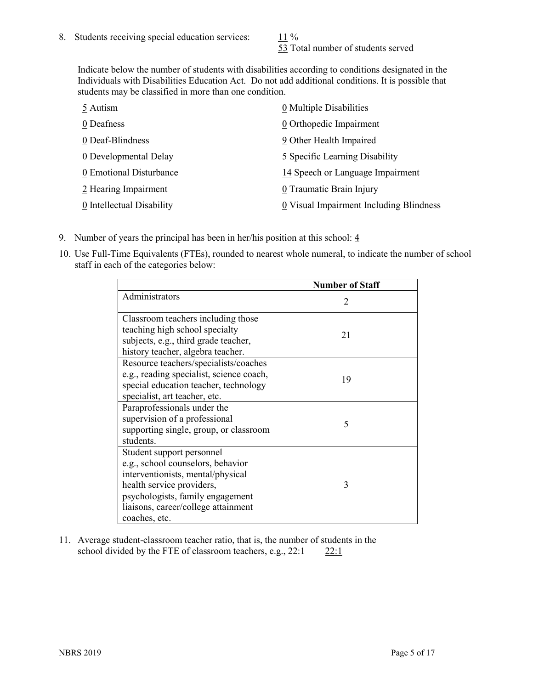53 Total number of students served

Indicate below the number of students with disabilities according to conditions designated in the Individuals with Disabilities Education Act. Do not add additional conditions. It is possible that students may be classified in more than one condition.

| 5 Autism                  | 0 Multiple Disabilities                 |
|---------------------------|-----------------------------------------|
| 0 Deafness                | 0 Orthopedic Impairment                 |
| 0 Deaf-Blindness          | 9 Other Health Impaired                 |
| 0 Developmental Delay     | 5 Specific Learning Disability          |
| 0 Emotional Disturbance   | 14 Speech or Language Impairment        |
| 2 Hearing Impairment      | 0 Traumatic Brain Injury                |
| 0 Intellectual Disability | 0 Visual Impairment Including Blindness |

- 9. Number of years the principal has been in her/his position at this school:  $\frac{4}{3}$
- 10. Use Full-Time Equivalents (FTEs), rounded to nearest whole numeral, to indicate the number of school staff in each of the categories below:

|                                                                                                                                                                                                                              | <b>Number of Staff</b>      |
|------------------------------------------------------------------------------------------------------------------------------------------------------------------------------------------------------------------------------|-----------------------------|
| Administrators                                                                                                                                                                                                               | $\mathcal{D}_{\mathcal{A}}$ |
| Classroom teachers including those<br>teaching high school specialty<br>subjects, e.g., third grade teacher,<br>history teacher, algebra teacher.                                                                            | 21                          |
| Resource teachers/specialists/coaches<br>e.g., reading specialist, science coach,<br>special education teacher, technology<br>specialist, art teacher, etc.                                                                  | 19                          |
| Paraprofessionals under the<br>supervision of a professional<br>supporting single, group, or classroom<br>students.                                                                                                          | 5                           |
| Student support personnel<br>e.g., school counselors, behavior<br>interventionists, mental/physical<br>health service providers,<br>psychologists, family engagement<br>liaisons, career/college attainment<br>coaches, etc. | 3                           |

11. Average student-classroom teacher ratio, that is, the number of students in the school divided by the FTE of classroom teachers, e.g.,  $22:1$  22:1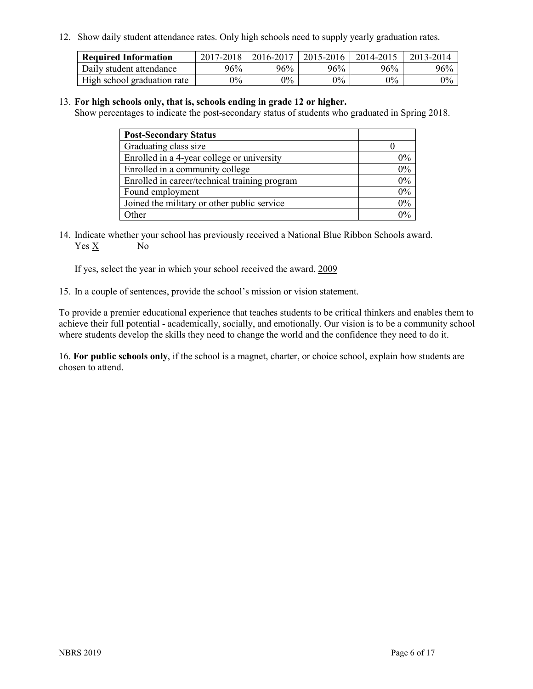12. Show daily student attendance rates. Only high schools need to supply yearly graduation rates.

| <b>Required Information</b> | 2017-2018 | 2016-2017 | 2015-2016 | 2014-2015 | 2013-2014 |
|-----------------------------|-----------|-----------|-----------|-----------|-----------|
| Daily student attendance    | 96%       | 96%       | 96%       | 96%       | 96%       |
| High school graduation rate | $0\%$     | $0\%$     | $0\%$     | $9\%$     | $0\%$     |

#### 13. **For high schools only, that is, schools ending in grade 12 or higher.**

Show percentages to indicate the post-secondary status of students who graduated in Spring 2018.

| <b>Post-Secondary Status</b>                  |       |
|-----------------------------------------------|-------|
| Graduating class size                         |       |
| Enrolled in a 4-year college or university    | $0\%$ |
| Enrolled in a community college               | 0%    |
| Enrolled in career/technical training program | 0%    |
| Found employment                              | 0%    |
| Joined the military or other public service   | $0\%$ |
| Other                                         | $0\%$ |

14. Indicate whether your school has previously received a National Blue Ribbon Schools award. Yes X No

If yes, select the year in which your school received the award. 2009

15. In a couple of sentences, provide the school's mission or vision statement.

To provide a premier educational experience that teaches students to be critical thinkers and enables them to achieve their full potential - academically, socially, and emotionally. Our vision is to be a community school where students develop the skills they need to change the world and the confidence they need to do it.

16. **For public schools only**, if the school is a magnet, charter, or choice school, explain how students are chosen to attend.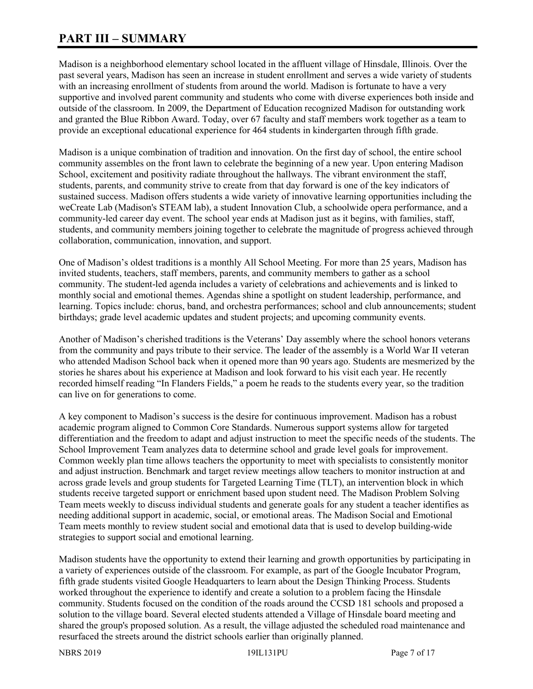# **PART III – SUMMARY**

Madison is a neighborhood elementary school located in the affluent village of Hinsdale, Illinois. Over the past several years, Madison has seen an increase in student enrollment and serves a wide variety of students with an increasing enrollment of students from around the world. Madison is fortunate to have a very supportive and involved parent community and students who come with diverse experiences both inside and outside of the classroom. In 2009, the Department of Education recognized Madison for outstanding work and granted the Blue Ribbon Award. Today, over 67 faculty and staff members work together as a team to provide an exceptional educational experience for 464 students in kindergarten through fifth grade.

Madison is a unique combination of tradition and innovation. On the first day of school, the entire school community assembles on the front lawn to celebrate the beginning of a new year. Upon entering Madison School, excitement and positivity radiate throughout the hallways. The vibrant environment the staff, students, parents, and community strive to create from that day forward is one of the key indicators of sustained success. Madison offers students a wide variety of innovative learning opportunities including the weCreate Lab (Madison's STEAM lab), a student Innovation Club, a schoolwide opera performance, and a community-led career day event. The school year ends at Madison just as it begins, with families, staff, students, and community members joining together to celebrate the magnitude of progress achieved through collaboration, communication, innovation, and support.

One of Madison's oldest traditions is a monthly All School Meeting. For more than 25 years, Madison has invited students, teachers, staff members, parents, and community members to gather as a school community. The student-led agenda includes a variety of celebrations and achievements and is linked to monthly social and emotional themes. Agendas shine a spotlight on student leadership, performance, and learning. Topics include: chorus, band, and orchestra performances; school and club announcements; student birthdays; grade level academic updates and student projects; and upcoming community events.

Another of Madison's cherished traditions is the Veterans' Day assembly where the school honors veterans from the community and pays tribute to their service. The leader of the assembly is a World War II veteran who attended Madison School back when it opened more than 90 years ago. Students are mesmerized by the stories he shares about his experience at Madison and look forward to his visit each year. He recently recorded himself reading "In Flanders Fields," a poem he reads to the students every year, so the tradition can live on for generations to come.

A key component to Madison's success is the desire for continuous improvement. Madison has a robust academic program aligned to Common Core Standards. Numerous support systems allow for targeted differentiation and the freedom to adapt and adjust instruction to meet the specific needs of the students. The School Improvement Team analyzes data to determine school and grade level goals for improvement. Common weekly plan time allows teachers the opportunity to meet with specialists to consistently monitor and adjust instruction. Benchmark and target review meetings allow teachers to monitor instruction at and across grade levels and group students for Targeted Learning Time (TLT), an intervention block in which students receive targeted support or enrichment based upon student need. The Madison Problem Solving Team meets weekly to discuss individual students and generate goals for any student a teacher identifies as needing additional support in academic, social, or emotional areas. The Madison Social and Emotional Team meets monthly to review student social and emotional data that is used to develop building-wide strategies to support social and emotional learning.

Madison students have the opportunity to extend their learning and growth opportunities by participating in a variety of experiences outside of the classroom. For example, as part of the Google Incubator Program, fifth grade students visited Google Headquarters to learn about the Design Thinking Process. Students worked throughout the experience to identify and create a solution to a problem facing the Hinsdale community. Students focused on the condition of the roads around the CCSD 181 schools and proposed a solution to the village board. Several elected students attended a Village of Hinsdale board meeting and shared the group's proposed solution. As a result, the village adjusted the scheduled road maintenance and resurfaced the streets around the district schools earlier than originally planned.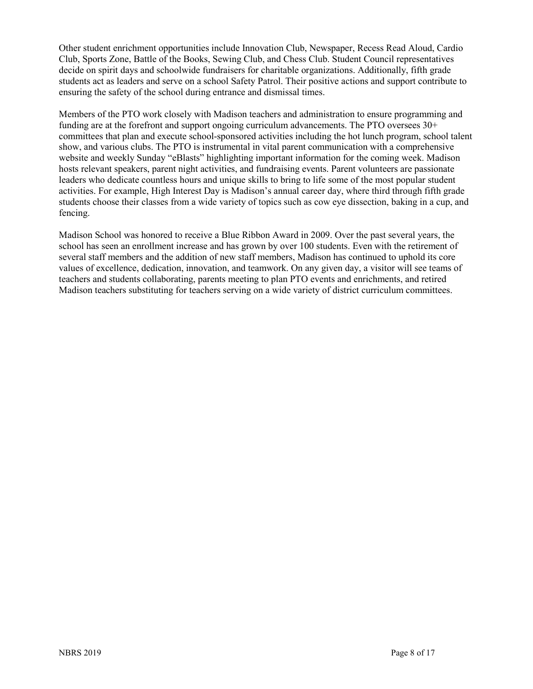Other student enrichment opportunities include Innovation Club, Newspaper, Recess Read Aloud, Cardio Club, Sports Zone, Battle of the Books, Sewing Club, and Chess Club. Student Council representatives decide on spirit days and schoolwide fundraisers for charitable organizations. Additionally, fifth grade students act as leaders and serve on a school Safety Patrol. Their positive actions and support contribute to ensuring the safety of the school during entrance and dismissal times.

Members of the PTO work closely with Madison teachers and administration to ensure programming and funding are at the forefront and support ongoing curriculum advancements. The PTO oversees 30+ committees that plan and execute school-sponsored activities including the hot lunch program, school talent show, and various clubs. The PTO is instrumental in vital parent communication with a comprehensive website and weekly Sunday "eBlasts" highlighting important information for the coming week. Madison hosts relevant speakers, parent night activities, and fundraising events. Parent volunteers are passionate leaders who dedicate countless hours and unique skills to bring to life some of the most popular student activities. For example, High Interest Day is Madison's annual career day, where third through fifth grade students choose their classes from a wide variety of topics such as cow eye dissection, baking in a cup, and fencing.

Madison School was honored to receive a Blue Ribbon Award in 2009. Over the past several years, the school has seen an enrollment increase and has grown by over 100 students. Even with the retirement of several staff members and the addition of new staff members, Madison has continued to uphold its core values of excellence, dedication, innovation, and teamwork. On any given day, a visitor will see teams of teachers and students collaborating, parents meeting to plan PTO events and enrichments, and retired Madison teachers substituting for teachers serving on a wide variety of district curriculum committees.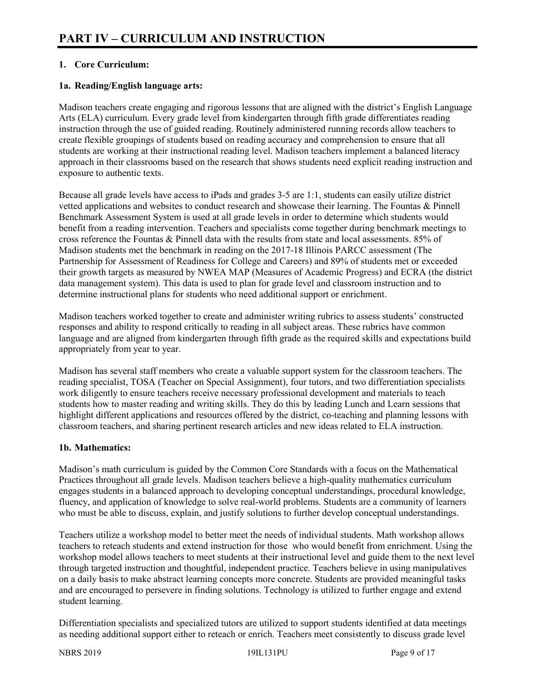# **1. Core Curriculum:**

# **1a. Reading/English language arts:**

Madison teachers create engaging and rigorous lessons that are aligned with the district's English Language Arts (ELA) curriculum. Every grade level from kindergarten through fifth grade differentiates reading instruction through the use of guided reading. Routinely administered running records allow teachers to create flexible groupings of students based on reading accuracy and comprehension to ensure that all students are working at their instructional reading level. Madison teachers implement a balanced literacy approach in their classrooms based on the research that shows students need explicit reading instruction and exposure to authentic texts.

Because all grade levels have access to iPads and grades 3-5 are 1:1, students can easily utilize district vetted applications and websites to conduct research and showcase their learning. The Fountas & Pinnell Benchmark Assessment System is used at all grade levels in order to determine which students would benefit from a reading intervention. Teachers and specialists come together during benchmark meetings to cross reference the Fountas & Pinnell data with the results from state and local assessments. 85% of Madison students met the benchmark in reading on the 2017-18 Illinois PARCC assessment (The Partnership for Assessment of Readiness for College and Careers) and 89% of students met or exceeded their growth targets as measured by NWEA MAP (Measures of Academic Progress) and ECRA (the district data management system). This data is used to plan for grade level and classroom instruction and to determine instructional plans for students who need additional support or enrichment.

Madison teachers worked together to create and administer writing rubrics to assess students' constructed responses and ability to respond critically to reading in all subject areas. These rubrics have common language and are aligned from kindergarten through fifth grade as the required skills and expectations build appropriately from year to year.

Madison has several staff members who create a valuable support system for the classroom teachers. The reading specialist, TOSA (Teacher on Special Assignment), four tutors, and two differentiation specialists work diligently to ensure teachers receive necessary professional development and materials to teach students how to master reading and writing skills. They do this by leading Lunch and Learn sessions that highlight different applications and resources offered by the district, co-teaching and planning lessons with classroom teachers, and sharing pertinent research articles and new ideas related to ELA instruction.

# **1b. Mathematics:**

Madison's math curriculum is guided by the Common Core Standards with a focus on the Mathematical Practices throughout all grade levels. Madison teachers believe a high-quality mathematics curriculum engages students in a balanced approach to developing conceptual understandings, procedural knowledge, fluency, and application of knowledge to solve real-world problems. Students are a community of learners who must be able to discuss, explain, and justify solutions to further develop conceptual understandings.

Teachers utilize a workshop model to better meet the needs of individual students. Math workshop allows teachers to reteach students and extend instruction for those who would benefit from enrichment. Using the workshop model allows teachers to meet students at their instructional level and guide them to the next level through targeted instruction and thoughtful, independent practice. Teachers believe in using manipulatives on a daily basis to make abstract learning concepts more concrete. Students are provided meaningful tasks and are encouraged to persevere in finding solutions. Technology is utilized to further engage and extend student learning.

Differentiation specialists and specialized tutors are utilized to support students identified at data meetings as needing additional support either to reteach or enrich. Teachers meet consistently to discuss grade level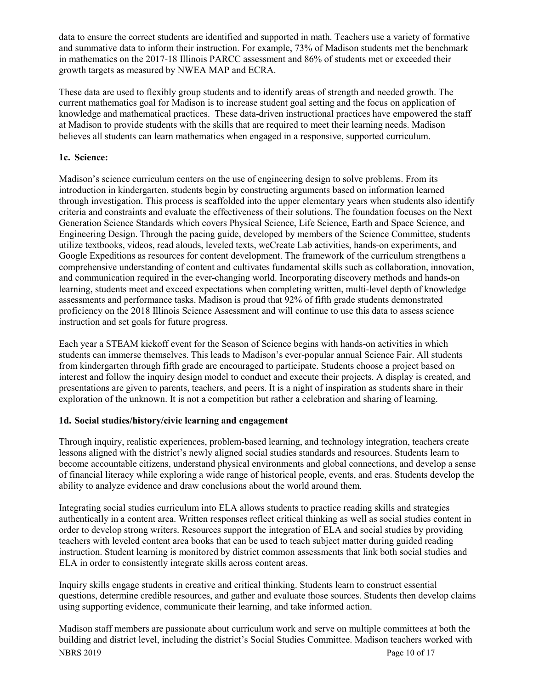data to ensure the correct students are identified and supported in math. Teachers use a variety of formative and summative data to inform their instruction. For example, 73% of Madison students met the benchmark in mathematics on the 2017-18 Illinois PARCC assessment and 86% of students met or exceeded their growth targets as measured by NWEA MAP and ECRA.

These data are used to flexibly group students and to identify areas of strength and needed growth. The current mathematics goal for Madison is to increase student goal setting and the focus on application of knowledge and mathematical practices. These data-driven instructional practices have empowered the staff at Madison to provide students with the skills that are required to meet their learning needs. Madison believes all students can learn mathematics when engaged in a responsive, supported curriculum.

# **1c. Science:**

Madison's science curriculum centers on the use of engineering design to solve problems. From its introduction in kindergarten, students begin by constructing arguments based on information learned through investigation. This process is scaffolded into the upper elementary years when students also identify criteria and constraints and evaluate the effectiveness of their solutions. The foundation focuses on the Next Generation Science Standards which covers Physical Science, Life Science, Earth and Space Science, and Engineering Design. Through the pacing guide, developed by members of the Science Committee, students utilize textbooks, videos, read alouds, leveled texts, weCreate Lab activities, hands-on experiments, and Google Expeditions as resources for content development. The framework of the curriculum strengthens a comprehensive understanding of content and cultivates fundamental skills such as collaboration, innovation, and communication required in the ever-changing world. Incorporating discovery methods and hands-on learning, students meet and exceed expectations when completing written, multi-level depth of knowledge assessments and performance tasks. Madison is proud that 92% of fifth grade students demonstrated proficiency on the 2018 Illinois Science Assessment and will continue to use this data to assess science instruction and set goals for future progress.

Each year a STEAM kickoff event for the Season of Science begins with hands-on activities in which students can immerse themselves. This leads to Madison's ever-popular annual Science Fair. All students from kindergarten through fifth grade are encouraged to participate. Students choose a project based on interest and follow the inquiry design model to conduct and execute their projects. A display is created, and presentations are given to parents, teachers, and peers. It is a night of inspiration as students share in their exploration of the unknown. It is not a competition but rather a celebration and sharing of learning.

#### **1d. Social studies/history/civic learning and engagement**

Through inquiry, realistic experiences, problem-based learning, and technology integration, teachers create lessons aligned with the district's newly aligned social studies standards and resources. Students learn to become accountable citizens, understand physical environments and global connections, and develop a sense of financial literacy while exploring a wide range of historical people, events, and eras. Students develop the ability to analyze evidence and draw conclusions about the world around them.

Integrating social studies curriculum into ELA allows students to practice reading skills and strategies authentically in a content area. Written responses reflect critical thinking as well as social studies content in order to develop strong writers. Resources support the integration of ELA and social studies by providing teachers with leveled content area books that can be used to teach subject matter during guided reading instruction. Student learning is monitored by district common assessments that link both social studies and ELA in order to consistently integrate skills across content areas.

Inquiry skills engage students in creative and critical thinking. Students learn to construct essential questions, determine credible resources, and gather and evaluate those sources. Students then develop claims using supporting evidence, communicate their learning, and take informed action.

NBRS 2019 Page 10 of 17 Madison staff members are passionate about curriculum work and serve on multiple committees at both the building and district level, including the district's Social Studies Committee. Madison teachers worked with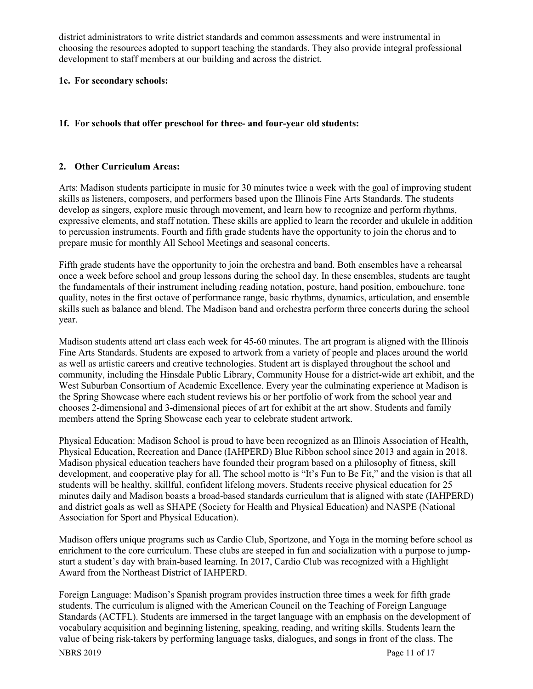district administrators to write district standards and common assessments and were instrumental in choosing the resources adopted to support teaching the standards. They also provide integral professional development to staff members at our building and across the district.

#### **1e. For secondary schools:**

#### **1f. For schools that offer preschool for three- and four-year old students:**

#### **2. Other Curriculum Areas:**

Arts: Madison students participate in music for 30 minutes twice a week with the goal of improving student skills as listeners, composers, and performers based upon the Illinois Fine Arts Standards. The students develop as singers, explore music through movement, and learn how to recognize and perform rhythms, expressive elements, and staff notation. These skills are applied to learn the recorder and ukulele in addition to percussion instruments. Fourth and fifth grade students have the opportunity to join the chorus and to prepare music for monthly All School Meetings and seasonal concerts.

Fifth grade students have the opportunity to join the orchestra and band. Both ensembles have a rehearsal once a week before school and group lessons during the school day. In these ensembles, students are taught the fundamentals of their instrument including reading notation, posture, hand position, embouchure, tone quality, notes in the first octave of performance range, basic rhythms, dynamics, articulation, and ensemble skills such as balance and blend. The Madison band and orchestra perform three concerts during the school year.

Madison students attend art class each week for 45-60 minutes. The art program is aligned with the Illinois Fine Arts Standards. Students are exposed to artwork from a variety of people and places around the world as well as artistic careers and creative technologies. Student art is displayed throughout the school and community, including the Hinsdale Public Library, Community House for a district-wide art exhibit, and the West Suburban Consortium of Academic Excellence. Every year the culminating experience at Madison is the Spring Showcase where each student reviews his or her portfolio of work from the school year and chooses 2-dimensional and 3-dimensional pieces of art for exhibit at the art show. Students and family members attend the Spring Showcase each year to celebrate student artwork.

Physical Education: Madison School is proud to have been recognized as an Illinois Association of Health, Physical Education, Recreation and Dance (IAHPERD) Blue Ribbon school since 2013 and again in 2018. Madison physical education teachers have founded their program based on a philosophy of fitness, skill development, and cooperative play for all. The school motto is "It's Fun to Be Fit," and the vision is that all students will be healthy, skillful, confident lifelong movers. Students receive physical education for 25 minutes daily and Madison boasts a broad-based standards curriculum that is aligned with state (IAHPERD) and district goals as well as SHAPE (Society for Health and Physical Education) and NASPE (National Association for Sport and Physical Education).

Madison offers unique programs such as Cardio Club, Sportzone, and Yoga in the morning before school as enrichment to the core curriculum. These clubs are steeped in fun and socialization with a purpose to jumpstart a student's day with brain-based learning. In 2017, Cardio Club was recognized with a Highlight Award from the Northeast District of IAHPERD.

Foreign Language: Madison's Spanish program provides instruction three times a week for fifth grade students. The curriculum is aligned with the American Council on the Teaching of Foreign Language Standards (ACTFL). Students are immersed in the target language with an emphasis on the development of vocabulary acquisition and beginning listening, speaking, reading, and writing skills. Students learn the value of being risk-takers by performing language tasks, dialogues, and songs in front of the class. The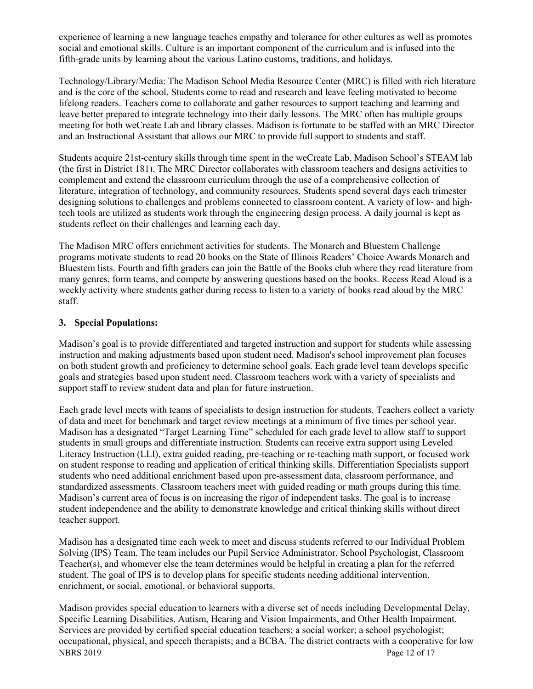experience of learning a new language teaches empathy and tolerance for other cultures as well as promotes social and emotional skills. Culture is an important component of the curriculum and is infused into the fifth-grade units by learning about the various Latino customs, traditions, and holidays.

Technology/Library/Media: The Madison School Media Resource Center (MRC) is filled with rich literature and is the core of the school. Students come to read and research and leave feeling motivated to become lifelong readers. Teachers come to collaborate and gather resources to support teaching and learning and leave better prepared to integrate technology into their daily lessons. The MRC often has multiple groups meeting for both weCreate Lab and library classes. Madison is fortunate to be staffed with an MRC Director and an Instructional Assistant that allows our MRC to provide full support to students and staff.

Students acquire 21st-century skills through time spent in the weCreate Lab, Madison School's STEAM lab (the first in District 181). The MRC Director collaborates with classroom teachers and designs activities to complement and extend the classroom curriculum through the use of a comprehensive collection of literature, integration of technology, and community resources. Students spend several days each trimester designing solutions to challenges and problems connected to classroom content. A variety of low- and hightech tools are utilized as students work through the engineering design process. A daily journal is kept as students reflect on their challenges and learning each day.

The Madison MRC offers enrichment activities for students. The Monarch and Bluestem Challenge programs motivate students to read 20 books on the State of Illinois Readers' Choice Awards Monarch and Bluestem lists. Fourth and fifth graders can join the Battle of the Books club where they read literature from many genres, form teams, and compete by answering questions based on the books. Recess Read Aloud is a weekly activity where students gather during recess to listen to a variety of books read aloud by the MRC staff.

### **3. Special Populations:**

Madison's goal is to provide differentiated and targeted instruction and support for students while assessing instruction and making adjustments based upon student need. Madison's school improvement plan focuses on both student growth and proficiency to determine school goals. Each grade level team develops specific goals and strategies based upon student need. Classroom teachers work with a variety of specialists and support staff to review student data and plan for future instruction.

Each grade level meets with teams of specialists to design instruction for students. Teachers collect a variety of data and meet for benchmark and target review meetings at a minimum of five times per school year. Madison has a designated "Target Learning Time" scheduled for each grade level to allow staff to support students in small groups and differentiate instruction. Students can receive extra support using Leveled Literacy Instruction (LLI), extra guided reading, pre-teaching or re-teaching math support, or focused work on student response to reading and application of critical thinking skills. Differentiation Specialists support students who need additional enrichment based upon pre-assessment data, classroom performance, and standardized assessments. Classroom teachers meet with guided reading or math groups during this time. Madison's current area of focus is on increasing the rigor of independent tasks. The goal is to increase student independence and the ability to demonstrate knowledge and critical thinking skills without direct teacher support.

Madison has a designated time each week to meet and discuss students referred to our Individual Problem Solving (IPS) Team. The team includes our Pupil Service Administrator, School Psychologist, Classroom Teacher(s), and whomever else the team determines would be helpful in creating a plan for the referred student. The goal of IPS is to develop plans for specific students needing additional intervention, enrichment, or social, emotional, or behavioral supports.

NBRS 2019 Page 12 of 17 Madison provides special education to learners with a diverse set of needs including Developmental Delay, Specific Learning Disabilities, Autism, Hearing and Vision Impairments, and Other Health Impairment. Services are provided by certified special education teachers; a social worker; a school psychologist; occupational, physical, and speech therapists; and a BCBA. The district contracts with a cooperative for low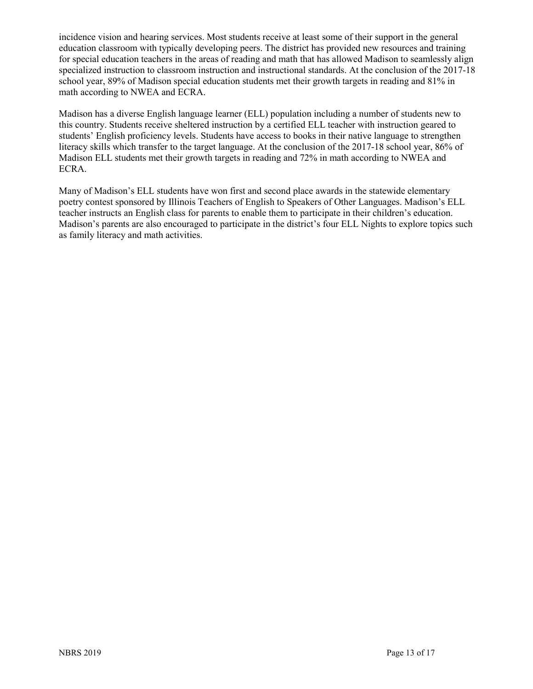incidence vision and hearing services. Most students receive at least some of their support in the general education classroom with typically developing peers. The district has provided new resources and training for special education teachers in the areas of reading and math that has allowed Madison to seamlessly align specialized instruction to classroom instruction and instructional standards. At the conclusion of the 2017-18 school year, 89% of Madison special education students met their growth targets in reading and 81% in math according to NWEA and ECRA.

Madison has a diverse English language learner (ELL) population including a number of students new to this country. Students receive sheltered instruction by a certified ELL teacher with instruction geared to students' English proficiency levels. Students have access to books in their native language to strengthen literacy skills which transfer to the target language. At the conclusion of the 2017-18 school year, 86% of Madison ELL students met their growth targets in reading and 72% in math according to NWEA and ECRA.

Many of Madison's ELL students have won first and second place awards in the statewide elementary poetry contest sponsored by Illinois Teachers of English to Speakers of Other Languages. Madison's ELL teacher instructs an English class for parents to enable them to participate in their children's education. Madison's parents are also encouraged to participate in the district's four ELL Nights to explore topics such as family literacy and math activities.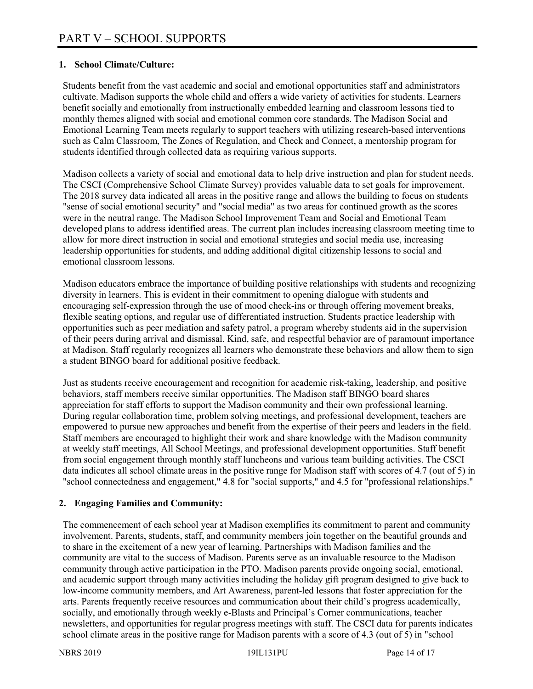## **1. School Climate/Culture:**

Students benefit from the vast academic and social and emotional opportunities staff and administrators cultivate. Madison supports the whole child and offers a wide variety of activities for students. Learners benefit socially and emotionally from instructionally embedded learning and classroom lessons tied to monthly themes aligned with social and emotional common core standards. The Madison Social and Emotional Learning Team meets regularly to support teachers with utilizing research-based interventions such as Calm Classroom, The Zones of Regulation, and Check and Connect, a mentorship program for students identified through collected data as requiring various supports.

Madison collects a variety of social and emotional data to help drive instruction and plan for student needs. The CSCI (Comprehensive School Climate Survey) provides valuable data to set goals for improvement. The 2018 survey data indicated all areas in the positive range and allows the building to focus on students "sense of social emotional security" and "social media" as two areas for continued growth as the scores were in the neutral range. The Madison School Improvement Team and Social and Emotional Team developed plans to address identified areas. The current plan includes increasing classroom meeting time to allow for more direct instruction in social and emotional strategies and social media use, increasing leadership opportunities for students, and adding additional digital citizenship lessons to social and emotional classroom lessons.

Madison educators embrace the importance of building positive relationships with students and recognizing diversity in learners. This is evident in their commitment to opening dialogue with students and encouraging self-expression through the use of mood check-ins or through offering movement breaks, flexible seating options, and regular use of differentiated instruction. Students practice leadership with opportunities such as peer mediation and safety patrol, a program whereby students aid in the supervision of their peers during arrival and dismissal. Kind, safe, and respectful behavior are of paramount importance at Madison. Staff regularly recognizes all learners who demonstrate these behaviors and allow them to sign a student BINGO board for additional positive feedback.

Just as students receive encouragement and recognition for academic risk-taking, leadership, and positive behaviors, staff members receive similar opportunities. The Madison staff BINGO board shares appreciation for staff efforts to support the Madison community and their own professional learning. During regular collaboration time, problem solving meetings, and professional development, teachers are empowered to pursue new approaches and benefit from the expertise of their peers and leaders in the field. Staff members are encouraged to highlight their work and share knowledge with the Madison community at weekly staff meetings, All School Meetings, and professional development opportunities. Staff benefit from social engagement through monthly staff luncheons and various team building activities. The CSCI data indicates all school climate areas in the positive range for Madison staff with scores of 4.7 (out of 5) in "school connectedness and engagement," 4.8 for "social supports," and 4.5 for "professional relationships."

# **2. Engaging Families and Community:**

The commencement of each school year at Madison exemplifies its commitment to parent and community involvement. Parents, students, staff, and community members join together on the beautiful grounds and to share in the excitement of a new year of learning. Partnerships with Madison families and the community are vital to the success of Madison. Parents serve as an invaluable resource to the Madison community through active participation in the PTO. Madison parents provide ongoing social, emotional, and academic support through many activities including the holiday gift program designed to give back to low-income community members, and Art Awareness, parent-led lessons that foster appreciation for the arts. Parents frequently receive resources and communication about their child's progress academically, socially, and emotionally through weekly e-Blasts and Principal's Corner communications, teacher newsletters, and opportunities for regular progress meetings with staff. The CSCI data for parents indicates school climate areas in the positive range for Madison parents with a score of 4.3 (out of 5) in "school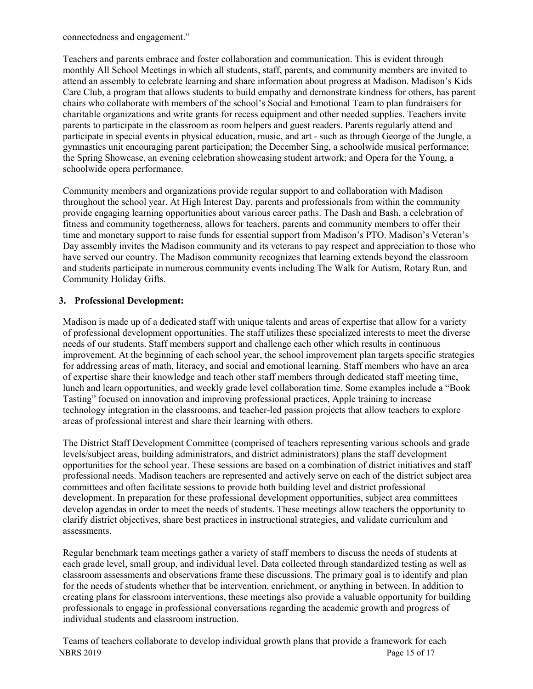connectedness and engagement."

Teachers and parents embrace and foster collaboration and communication. This is evident through monthly All School Meetings in which all students, staff, parents, and community members are invited to attend an assembly to celebrate learning and share information about progress at Madison. Madison's Kids Care Club, a program that allows students to build empathy and demonstrate kindness for others, has parent chairs who collaborate with members of the school's Social and Emotional Team to plan fundraisers for charitable organizations and write grants for recess equipment and other needed supplies. Teachers invite parents to participate in the classroom as room helpers and guest readers. Parents regularly attend and participate in special events in physical education, music, and art - such as through George of the Jungle, a gymnastics unit encouraging parent participation; the December Sing, a schoolwide musical performance; the Spring Showcase, an evening celebration showcasing student artwork; and Opera for the Young, a schoolwide opera performance.

Community members and organizations provide regular support to and collaboration with Madison throughout the school year. At High Interest Day, parents and professionals from within the community provide engaging learning opportunities about various career paths. The Dash and Bash, a celebration of fitness and community togetherness, allows for teachers, parents and community members to offer their time and monetary support to raise funds for essential support from Madison's PTO. Madison's Veteran's Day assembly invites the Madison community and its veterans to pay respect and appreciation to those who have served our country. The Madison community recognizes that learning extends beyond the classroom and students participate in numerous community events including The Walk for Autism, Rotary Run, and Community Holiday Gifts.

### **3. Professional Development:**

Madison is made up of a dedicated staff with unique talents and areas of expertise that allow for a variety of professional development opportunities. The staff utilizes these specialized interests to meet the diverse needs of our students. Staff members support and challenge each other which results in continuous improvement. At the beginning of each school year, the school improvement plan targets specific strategies for addressing areas of math, literacy, and social and emotional learning. Staff members who have an area of expertise share their knowledge and teach other staff members through dedicated staff meeting time, lunch and learn opportunities, and weekly grade level collaboration time. Some examples include a "Book Tasting" focused on innovation and improving professional practices, Apple training to increase technology integration in the classrooms, and teacher-led passion projects that allow teachers to explore areas of professional interest and share their learning with others.

The District Staff Development Committee (comprised of teachers representing various schools and grade levels/subject areas, building administrators, and district administrators) plans the staff development opportunities for the school year. These sessions are based on a combination of district initiatives and staff professional needs. Madison teachers are represented and actively serve on each of the district subject area committees and often facilitate sessions to provide both building level and district professional development. In preparation for these professional development opportunities, subject area committees develop agendas in order to meet the needs of students. These meetings allow teachers the opportunity to clarify district objectives, share best practices in instructional strategies, and validate curriculum and assessments.

Regular benchmark team meetings gather a variety of staff members to discuss the needs of students at each grade level, small group, and individual level. Data collected through standardized testing as well as classroom assessments and observations frame these discussions. The primary goal is to identify and plan for the needs of students whether that be intervention, enrichment, or anything in between. In addition to creating plans for classroom interventions, these meetings also provide a valuable opportunity for building professionals to engage in professional conversations regarding the academic growth and progress of individual students and classroom instruction.

NBRS 2019 Page 15 of 17 Teams of teachers collaborate to develop individual growth plans that provide a framework for each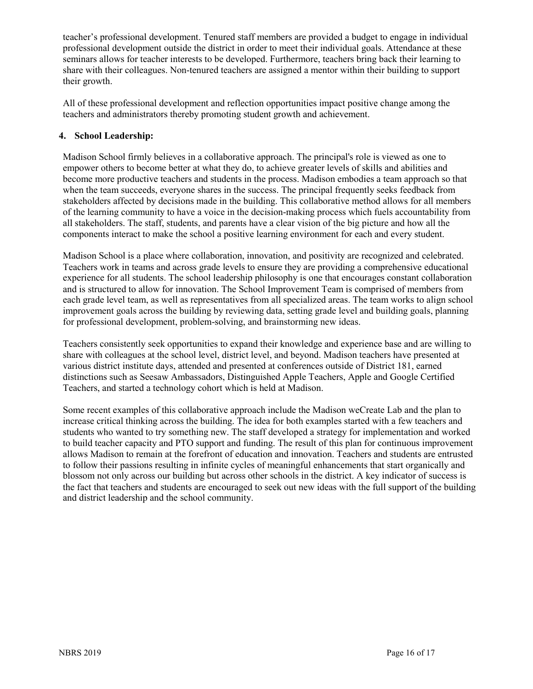teacher's professional development. Tenured staff members are provided a budget to engage in individual professional development outside the district in order to meet their individual goals. Attendance at these seminars allows for teacher interests to be developed. Furthermore, teachers bring back their learning to share with their colleagues. Non-tenured teachers are assigned a mentor within their building to support their growth.

All of these professional development and reflection opportunities impact positive change among the teachers and administrators thereby promoting student growth and achievement.

# **4. School Leadership:**

Madison School firmly believes in a collaborative approach. The principal's role is viewed as one to empower others to become better at what they do, to achieve greater levels of skills and abilities and become more productive teachers and students in the process. Madison embodies a team approach so that when the team succeeds, everyone shares in the success. The principal frequently seeks feedback from stakeholders affected by decisions made in the building. This collaborative method allows for all members of the learning community to have a voice in the decision-making process which fuels accountability from all stakeholders. The staff, students, and parents have a clear vision of the big picture and how all the components interact to make the school a positive learning environment for each and every student.

Madison School is a place where collaboration, innovation, and positivity are recognized and celebrated. Teachers work in teams and across grade levels to ensure they are providing a comprehensive educational experience for all students. The school leadership philosophy is one that encourages constant collaboration and is structured to allow for innovation. The School Improvement Team is comprised of members from each grade level team, as well as representatives from all specialized areas. The team works to align school improvement goals across the building by reviewing data, setting grade level and building goals, planning for professional development, problem-solving, and brainstorming new ideas.

Teachers consistently seek opportunities to expand their knowledge and experience base and are willing to share with colleagues at the school level, district level, and beyond. Madison teachers have presented at various district institute days, attended and presented at conferences outside of District 181, earned distinctions such as Seesaw Ambassadors, Distinguished Apple Teachers, Apple and Google Certified Teachers, and started a technology cohort which is held at Madison.

Some recent examples of this collaborative approach include the Madison weCreate Lab and the plan to increase critical thinking across the building. The idea for both examples started with a few teachers and students who wanted to try something new. The staff developed a strategy for implementation and worked to build teacher capacity and PTO support and funding. The result of this plan for continuous improvement allows Madison to remain at the forefront of education and innovation. Teachers and students are entrusted to follow their passions resulting in infinite cycles of meaningful enhancements that start organically and blossom not only across our building but across other schools in the district. A key indicator of success is the fact that teachers and students are encouraged to seek out new ideas with the full support of the building and district leadership and the school community.